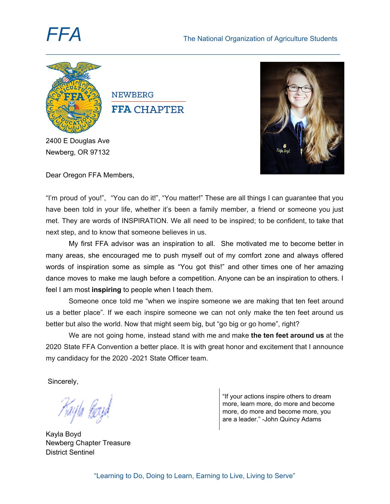

**NEWBERG FFA CHAPTER** 

2400 E Douglas Ave Newberg, OR 97132



Dear Oregon FFA Members,

"I'm proud of you!", "You can do it!", "You matter!" These are all things I can guarantee that you have been told in your life, whether it's been a family member, a friend or someone you just met. They are words of INSPIRATION. We all need to be inspired; to be confident, to take that next step, and to know that someone believes in us.

**\_\_\_\_\_\_\_\_\_\_\_\_\_\_\_\_\_\_\_\_\_\_\_\_\_\_\_\_\_\_\_\_\_\_\_\_\_\_\_\_\_\_\_\_\_\_\_\_\_\_\_\_\_\_\_\_\_\_\_\_\_\_\_\_\_\_\_\_\_\_\_\_\_\_\_\_\_\_\_\_\_\_\_\_\_\_\_\_\_\_\_\_\_\_\_\_\_\_\_\_\_\_\_\_**

My first FFA advisor was an inspiration to all. She motivated me to become better in many areas, she encouraged me to push myself out of my comfort zone and always offered words of inspiration some as simple as "You got this!" and other times one of her amazing dance moves to make me laugh before a competition. Anyone can be an inspiration to others. I feel I am most **inspiring** to people when I teach them.

Someone once told me "when we inspire someone we are making that ten feet around us a better place". If we each inspire someone we can not only make the ten feet around us better but also the world. Now that might seem big, but "go big or go home", right?

We are not going home, instead stand with me and make **the ten feet around us** at the 2020 State FFA Convention a better place. It is with great honor and excitement that I announce my candidacy for the 2020 -2021 State Officer team.

Sincerely,

ula Ka

Kayla Boyd Newberg Chapter Treasure District Sentinel

"If your actions inspire others to dream more, learn more, do more and become more, do more and become more, you are a leader." -John Quincy Adams

"Learning to Do, Doing to Learn, Earning to Live, Living to Serve"